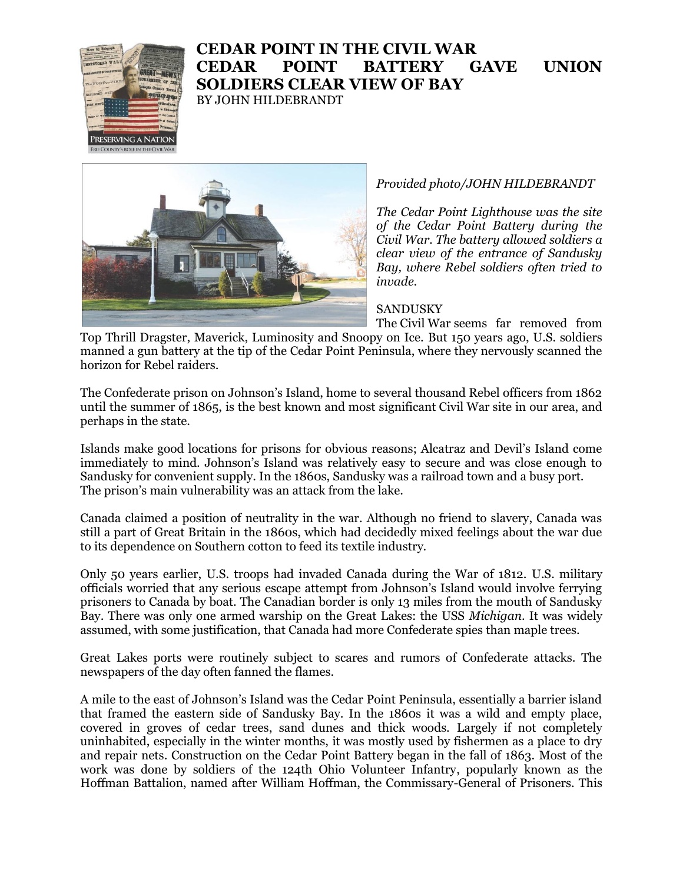

## **CEDAR POINT IN THE CIVIL WAR CEDAR POINT BATTERY GAVE UNION SOLDIERS CLEAR VIEW OF BAY**

BY JOHN HILDEBRANDT



## *Provided photo/JOHN HILDEBRANDT*

*The Cedar Point Lighthouse was the site of the Cedar Point Battery during the Civil War. The battery allowed soldiers a clear view of the entrance of Sandusky Bay, where Rebel soldiers often tried to invade.*

## **SANDUSKY**

The Civil War seems far removed from Top Thrill Dragster, Maverick, Luminosity and Snoopy on Ice. But 150 years ago, U.S. soldiers manned a gun battery at the tip of the Cedar Point Peninsula, where they nervously scanned the horizon for Rebel raiders.

The Confederate prison on Johnson's Island, home to several thousand Rebel officers from 1862 until the summer of 1865, is the best known and most significant Civil War site in our area, and perhaps in the state.

Islands make good locations for prisons for obvious reasons; Alcatraz and Devil's Island come immediately to mind. Johnson's Island was relatively easy to secure and was close enough to Sandusky for convenient supply. In the 1860s, Sandusky was a railroad town and a busy port. The prison's main vulnerability was an attack from the lake.

Canada claimed a position of neutrality in the war. Although no friend to slavery, Canada was still a part of Great Britain in the 1860s, which had decidedly mixed feelings about the war due to its dependence on Southern cotton to feed its textile industry.

Only 50 years earlier, U.S. troops had invaded Canada during the War of 1812. U.S. military officials worried that any serious escape attempt from Johnson's Island would involve ferrying prisoners to Canada by boat. The Canadian border is only 13 miles from the mouth of Sandusky Bay. There was only one armed warship on the Great Lakes: the USS *Michigan*. It was widely assumed, with some justification, that Canada had more Confederate spies than maple trees.

Great Lakes ports were routinely subject to scares and rumors of Confederate attacks. The newspapers of the day often fanned the flames.

A mile to the east of Johnson's Island was the Cedar Point Peninsula, essentially a barrier island that framed the eastern side of Sandusky Bay. In the 1860s it was a wild and empty place, covered in groves of cedar trees, sand dunes and thick woods. Largely if not completely uninhabited, especially in the winter months, it was mostly used by fishermen as a place to dry and repair nets. Construction on the Cedar Point Battery began in the fall of 1863. Most of the work was done by soldiers of the 124th Ohio Volunteer Infantry, popularly known as the Hoffman Battalion, named after William Hoffman, the Commissary-General of Prisoners. This